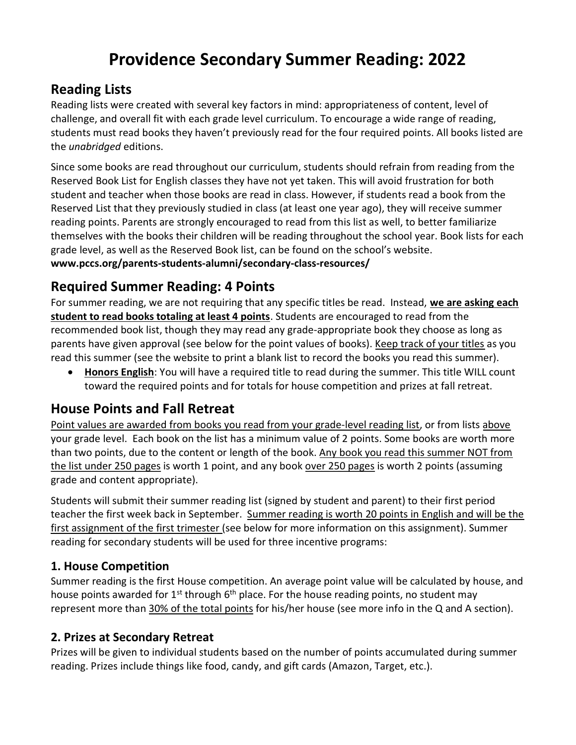## Providence Secondary Summer Reading: 2022

## Reading Lists

Reading lists were created with several key factors in mind: appropriateness of content, level of challenge, and overall fit with each grade level curriculum. To encourage a wide range of reading, students must read books they haven't previously read for the four required points. All books listed are the unabridged editions.

Since some books are read throughout our curriculum, students should refrain from reading from the Reserved Book List for English classes they have not yet taken. This will avoid frustration for both student and teacher when those books are read in class. However, if students read a book from the Reserved List that they previously studied in class (at least one year ago), they will receive summer reading points. Parents are strongly encouraged to read from this list as well, to better familiarize themselves with the books their children will be reading throughout the school year. Book lists for each grade level, as well as the Reserved Book list, can be found on the school's website. www.pccs.org/parents-students-alumni/secondary-class-resources/

# Required Summer Reading: 4 Points

For summer reading, we are not requiring that any specific titles be read. Instead, we are asking each student to read books totaling at least 4 points. Students are encouraged to read from the recommended book list, though they may read any grade-appropriate book they choose as long as parents have given approval (see below for the point values of books). Keep track of your titles as you read this summer (see the website to print a blank list to record the books you read this summer).

• Honors English: You will have a required title to read during the summer. This title WILL count toward the required points and for totals for house competition and prizes at fall retreat.

### House Points and Fall Retreat

Point values are awarded from books you read from your grade-level reading list, or from lists above your grade level. Each book on the list has a minimum value of 2 points. Some books are worth more than two points, due to the content or length of the book. Any book you read this summer NOT from the list under 250 pages is worth 1 point, and any book over 250 pages is worth 2 points (assuming grade and content appropriate).

Students will submit their summer reading list (signed by student and parent) to their first period teacher the first week back in September. Summer reading is worth 20 points in English and will be the first assignment of the first trimester (see below for more information on this assignment). Summer reading for secondary students will be used for three incentive programs:

#### 1. House Competition

Summer reading is the first House competition. An average point value will be calculated by house, and house points awarded for  $1^{st}$  through  $6^{th}$  place. For the house reading points, no student may represent more than 30% of the total points for his/her house (see more info in the Q and A section).

#### 2. Prizes at Secondary Retreat

Prizes will be given to individual students based on the number of points accumulated during summer reading. Prizes include things like food, candy, and gift cards (Amazon, Target, etc.).